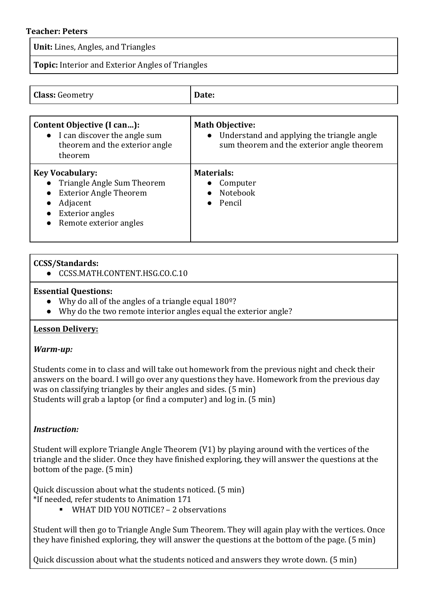### **Teacher: Peters**

**Unit:** Lines, Angles, and Triangles

**Topic:** Interior and Exterior Angles of Triangles

| <b>Class:</b> Geometry                                                                                                                                | Date:                                                                                                                           |
|-------------------------------------------------------------------------------------------------------------------------------------------------------|---------------------------------------------------------------------------------------------------------------------------------|
|                                                                                                                                                       |                                                                                                                                 |
| Content Objective (I can):<br>• I can discover the angle sum<br>theorem and the exterior angle<br>theorem                                             | <b>Math Objective:</b><br>Understand and applying the triangle angle<br>$\bullet$<br>sum theorem and the exterior angle theorem |
| <b>Key Vocabulary:</b><br>Triangle Angle Sum Theorem<br><b>Exterior Angle Theorem</b><br>Adjacent<br><b>Exterior angles</b><br>Remote exterior angles | <b>Materials:</b><br>Computer<br>Notebook<br>Pencil<br>$\bullet$                                                                |

### **CCSS/Standards:**

● CCSS.MATH.CONTENT.HSG.CO.C.10

### **Essential Questions:**

- Why do all of the angles of a triangle equal  $180^\circ$ ?
- $\bullet$  Why do the two remote interior angles equal the exterior angle?

## **Lesson Delivery:**

### *Warm-up:*

Students come in to class and will take out homework from the previous night and check their answers on the board. I will go over any questions they have. Homework from the previous day was on classifying triangles by their angles and sides. (5 min) Students will grab a laptop (or find a computer) and log in. (5 min)

## *Instruction:*

Student will explore Triangle Angle Theorem  $(V1)$  by playing around with the vertices of the triangle and the slider. Once they have finished exploring, they will answer the questions at the bottom of the page.  $(5 \text{ min})$ 

Quick discussion about what the students noticed. (5 min) \*If needed, refer students to Animation 171

■ WHAT DID YOU NOTICE? – 2 observations

Student will then go to Triangle Angle Sum Theorem. They will again play with the vertices. Once they have finished exploring, they will answer the questions at the bottom of the page. (5 min)

Quick discussion about what the students noticed and answers they wrote down. (5 min)